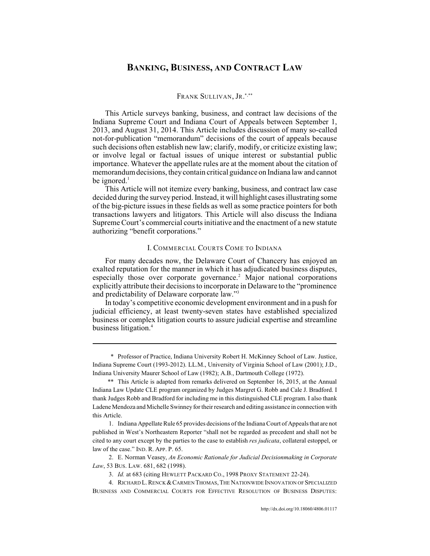# **BANKING, BUSINESS, AND CONTRACT LAW**

# FRANK SULLIVAN, JR. \*,\*\*

This Article surveys banking, business, and contract law decisions of the Indiana Supreme Court and Indiana Court of Appeals between September 1, 2013, and August 31, 2014. This Article includes discussion of many so-called not-for-publication "memorandum" decisions of the court of appeals because such decisions often establish new law; clarify, modify, or criticize existing law; or involve legal or factual issues of unique interest or substantial public importance. Whatever the appellate rules are at the moment about the citation of memorandum decisions, they contain critical guidance on Indiana law and cannot be ignored. $<sup>1</sup>$ </sup>

This Article will not itemize every banking, business, and contract law case decided during the survey period. Instead, it will highlight cases illustrating some of the big-picture issues in these fields as well as some practice pointers for both transactions lawyers and litigators. This Article will also discuss the Indiana Supreme Court's commercial courts initiative and the enactment of a new statute authorizing "benefit corporations."

# I. COMMERCIAL COURTS COME TO INDIANA

For many decades now, the Delaware Court of Chancery has enjoyed an exalted reputation for the manner in which it has adjudicated business disputes, especially those over corporate governance.<sup>2</sup> Major national corporations explicitly attribute their decisions to incorporate in Delaware to the "prominence and predictability of Delaware corporate law."<sup>3</sup>

In today's competitive economic development environment and in a push for judicial efficiency, at least twenty-seven states have established specialized business or complex litigation courts to assure judicial expertise and streamline business litigation.<sup>4</sup>

<sup>\*</sup> Professor of Practice, Indiana University Robert H. McKinney School of Law. Justice, Indiana Supreme Court (1993-2012). LL.M., University of Virginia School of Law (2001); J.D., Indiana University Maurer School of Law (1982); A.B., Dartmouth College (1972).

<sup>\*\*</sup> This Article is adapted from remarks delivered on September 16, 2015, at the Annual Indiana Law Update CLE program organized by Judges Margret G. Robb and Cale J. Bradford. I thank Judges Robb and Bradford for including me in this distinguished CLE program. I also thank Ladene Mendoza and Michelle Swinney for their research and editing assistance in connection with this Article.

<sup>1.</sup> Indiana Appellate Rule 65 provides decisions of the Indiana Court of Appeals that are not published in West's Northeastern Reporter "shall not be regarded as precedent and shall not be cited to any court except by the parties to the case to establish *res judicata*, collateral estoppel, or law of the case." IND. R. APP. P. 65.

<sup>2.</sup> E. Norman Veasey, *An Economic Rationale for Judicial Decisionmaking in Corporate Law*, 53 BUS. LAW. 681, 682 (1998).

<sup>3.</sup> *Id.* at 683 (citing HEWLETT PACKARD CO., 1998 PROXY STATEMENT 22-24).

<sup>4.</sup> RICHARD L. RENCK & CARMEN THOMAS, THE NATIONWIDE INNOVATION OF SPECIALIZED BUSINESS AND COMMERCIAL COURTS FOR EFFECTIVE RESOLUTION OF BUSINESS DISPUTES: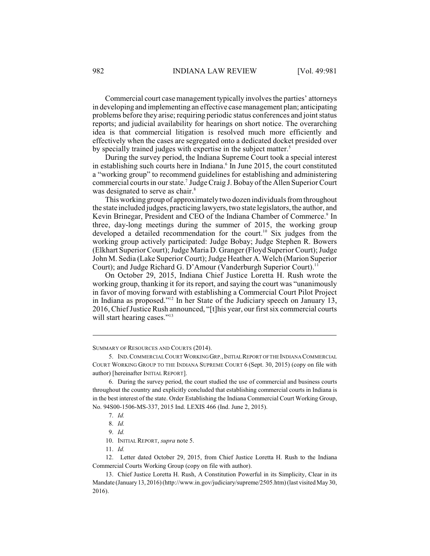Commercial court case management typically involves the parties' attorneys in developing and implementing an effective case management plan; anticipating problems before they arise; requiring periodic status conferences and joint status reports; and judicial availability for hearings on short notice. The overarching idea is that commercial litigation is resolved much more efficiently and effectively when the cases are segregated onto a dedicated docket presided over by specially trained judges with expertise in the subject matter.<sup>5</sup>

During the survey period, the Indiana Supreme Court took a special interest in establishing such courts here in Indiana. $6$  In June 2015, the court constituted a "working group" to recommend guidelines for establishing and administering commercial courts in our state.<sup>7</sup> Judge Craig J. Bobay of the Allen Superior Court was designated to serve as chair.<sup>8</sup>

This working group of approximately two dozen individuals fromthroughout the state included judges, practicing lawyers, two state legislators, the author, and Kevin Brinegar, President and CEO of the Indiana Chamber of Commerce.<sup>9</sup> In three, day-long meetings during the summer of 2015, the working group developed a detailed recommendation for the court.<sup>10</sup> Six judges from the working group actively participated: Judge Bobay; Judge Stephen R. Bowers (Elkhart Superior Court); Judge Maria D. Granger (Floyd Superior Court); Judge John M. Sedia (Lake Superior Court); Judge Heather A. Welch (Marion Superior Court); and Judge Richard G. D'Amour (Vanderburgh Superior Court).<sup>11</sup>

On October 29, 2015, Indiana Chief Justice Loretta H. Rush wrote the working group, thanking it for its report, and saying the court was "unanimously in favor of moving forward with establishing a Commercial Court Pilot Project in Indiana as proposed." $12$  In her State of the Judiciary speech on January 13, 2016, Chief Justice Rush announced, "[t]his year, our first six commercial courts will start hearing cases."<sup>13</sup>

SUMMARY OF RESOURCES AND COURTS (2014).

10. INITIAL REPORT, *supra* note 5.

12. Letter dated October 29, 2015, from Chief Justice Loretta H. Rush to the Indiana Commercial Courts Working Group (copy on file with author).

13. Chief Justice Loretta H. Rush, A Constitution Powerful in its Simplicity, Clear in its Mandate (January13, 2016) (http://www.in.gov/judiciary/supreme/2505.htm) (last visited May 30, 2016).

<sup>5.</sup> IND.COMMERCIALCOURTWORKING GRP.,INITIALREPORT OFTHE INDIANA COMMERCIAL COURT WORKING GROUP TO THE INDIANA SUPREME COURT 6 (Sept. 30, 2015) (copy on file with author) [hereinafter INITIAL REPORT].

<sup>6.</sup> During the survey period, the court studied the use of commercial and business courts throughout the country and explicitly concluded that establishing commercial courts in Indiana is in the best interest of the state. Order Establishing the Indiana Commercial Court Working Group, No. 94S00-1506-MS-337, 2015 Ind. LEXIS 466 (Ind. June 2, 2015).

<sup>7.</sup> *Id.*

<sup>8.</sup> *Id.*

<sup>9.</sup> *Id.* 

<sup>11.</sup> *Id.*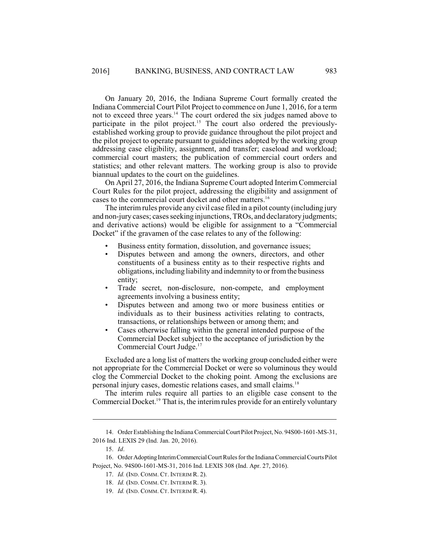On January 20, 2016, the Indiana Supreme Court formally created the Indiana Commercial Court Pilot Project to commence on June 1, 2016, for a term not to exceed three years.<sup>14</sup> The court ordered the six judges named above to participate in the pilot project.<sup>15</sup> The court also ordered the previouslyestablished working group to provide guidance throughout the pilot project and the pilot project to operate pursuant to guidelines adopted by the working group addressing case eligibility, assignment, and transfer; caseload and workload; commercial court masters; the publication of commercial court orders and statistics; and other relevant matters. The working group is also to provide biannual updates to the court on the guidelines.

On April 27, 2016, the Indiana Supreme Court adopted Interim Commercial Court Rules for the pilot project, addressing the eligibility and assignment of cases to the commercial court docket and other matters. 16

The interim rules provide any civil case filed in a pilot county (including jury and non-jury cases; cases seeking injunctions, TROs, and declaratory judgments; and derivative actions) would be eligible for assignment to a "Commercial Docket" if the gravamen of the case relates to any of the following:

- Business entity formation, dissolution, and governance issues;
- Disputes between and among the owners, directors, and other constituents of a business entity as to their respective rights and obligations, including liability and indemnity to or fromthe business entity;
- Trade secret, non-disclosure, non-compete, and employment agreements involving a business entity;
- Disputes between and among two or more business entities or individuals as to their business activities relating to contracts, transactions, or relationships between or among them; and
- Cases otherwise falling within the general intended purpose of the Commercial Docket subject to the acceptance of jurisdiction by the Commercial Court Judge.<sup>17</sup>

Excluded are a long list of matters the working group concluded either were not appropriate for the Commercial Docket or were so voluminous they would clog the Commercial Docket to the choking point. Among the exclusions are personal injury cases, domestic relations cases, and small claims.<sup>18</sup>

The interim rules require all parties to an eligible case consent to the Commercial Docket.<sup>19</sup> That is, the interim rules provide for an entirely voluntary

<sup>14.</sup> Order Establishing the Indiana CommercialCourtPilot Project, No. 94S00-1601-MS-31, 2016 Ind. LEXIS 29 (Ind. Jan. 20, 2016).

<sup>15.</sup> *Id*.

<sup>16.</sup> Order AdoptingInterimCommercialCourt Rules for the Indiana Commercial Courts Pilot Project, No. 94S00-1601-MS-31, 2016 Ind. LEXIS 308 (Ind. Apr. 27, 2016).

<sup>17.</sup> *Id.* (IND. COMM. CT. INTERIM R. 2).

<sup>18.</sup> *Id.* (IND. COMM. CT. INTERIM R. 3).

<sup>19.</sup> *Id.* (IND. COMM. CT. INTERIM R. 4).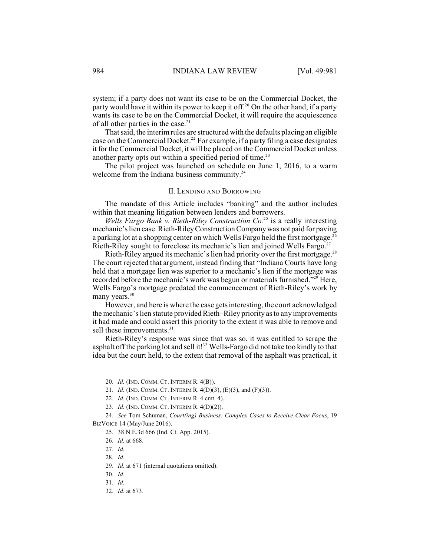system; if a party does not want its case to be on the Commercial Docket, the party would have it within its power to keep it off.<sup>20</sup> On the other hand, if a party wants its case to be on the Commercial Docket, it will require the acquiescence of all other parties in the case.<sup>21</sup>

Thatsaid, the interim rules are structured with the defaults placing an eligible case on the Commercial Docket.<sup>22</sup> For example, if a party filing a case designates it for the Commercial Docket, it will be placed on the Commercial Docket unless another party opts out within a specified period of time.<sup>23</sup>

The pilot project was launched on schedule on June 1, 2016, to a warm welcome from the Indiana business community.<sup>24</sup>

## II. LENDING AND BORROWING

The mandate of this Article includes "banking" and the author includes within that meaning litigation between lenders and borrowers.

*Wells Fargo Bank v. Rieth-Riley Construction Co.*<sup>25</sup> is a really interesting mechanic's lien case. Rieth-Riley Construction Company was not paid for paving a parking lot at a shopping center on which Wells Fargo held the first mortgage.<sup>26</sup> Rieth-Riley sought to foreclose its mechanic's lien and joined Wells Fargo.<sup>27</sup>

Rieth-Riley argued its mechanic's lien had priority over the first mortgage.<sup>28</sup> The court rejected that argument, instead finding that "Indiana Courts have long held that a mortgage lien was superior to a mechanic's lien if the mortgage was recorded before the mechanic's work was begun or materials furnished."<sup>29</sup> Here, Wells Fargo's mortgage predated the commencement of Rieth-Riley's work by many years.<sup>30</sup>

However, and here is where the case gets interesting, the court acknowledged the mechanic's lien statute provided Rieth–Riley priority as to any improvements it had made and could assert this priority to the extent it was able to remove and sell these improvements.<sup>31</sup>

Rieth-Riley's response was since that was so, it was entitled to scrape the asphalt off the parking lot and sell it!<sup>32</sup> Wells-Fargo did not take too kindly to that idea but the court held, to the extent that removal of the asphalt was practical, it

32. *Id.* at 673.

<sup>20.</sup> *Id.* (IND. COMM. CT. INTERIM R. 4(B)).

<sup>21.</sup> *Id.* (IND. COMM. CT. INTERIM R. 4(D)(3), (E)(3), and (F)(3)).

<sup>22.</sup> *Id.* (IND. COMM. CT. INTERIM R. 4 cmt. 4).

<sup>23.</sup> *Id.* (IND. COMM. CT. INTERIM R. 4(D)(2)).

<sup>24.</sup> *See* Tom Schuman, *Court(ing) Business: Complex Cases to Receive Clear Focus*, 19 BIZVOICE 14 (May/June 2016).

<sup>25.</sup> 38 N.E.3d 666 (Ind. Ct. App. 2015).

<sup>26.</sup> *Id.* at 668.

<sup>27.</sup> *Id.*

<sup>28.</sup> *Id.*

<sup>29.</sup> *Id.* at 671 (internal quotations omitted).

<sup>30.</sup> *Id.*

<sup>31.</sup> *Id.*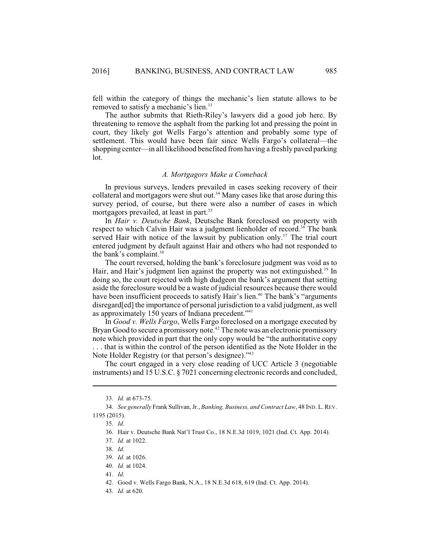fell within the category of things the mechanic's lien statute allows to be removed to satisfy a mechanic's lien.<sup>33</sup>

The author submits that Rieth-Riley's lawyers did a good job here. By threatening to remove the asphalt from the parking lot and pressing the point in court, they likely got Wells Fargo's attention and probably some type of settlement. This would have been fair since Wells Fargo's collateral—the shopping center—in all likelihood benefited from having a freshly paved parking lot.

# *A. Mortgagors Make a Comeback*

In previous surveys, lenders prevailed in cases seeking recovery of their collateral and mortgagors were shut out.<sup>34</sup> Many cases like that arose during this survey period, of course, but there were also a number of cases in which mortgagors prevailed, at least in part.<sup>35</sup>

In *Hair v. Deutsche Bank*, Deutsche Bank foreclosed on property with respect to which Calvin Hair was a judgment lienholder of record.<sup>36</sup> The bank served Hair with notice of the lawsuit by publication only.<sup>37</sup> The trial court entered judgment by default against Hair and others who had not responded to the bank's complaint.<sup>38</sup>

The court reversed, holding the bank's foreclosure judgment was void as to Hair, and Hair's judgment lien against the property was not extinguished.<sup>39</sup> In doing so, the court rejected with high dudgeon the bank's argument that setting aside the foreclosure would be a waste of judicial resources because there would have been insufficient proceeds to satisfy Hair's lien.<sup>40</sup> The bank's "arguments disregard[ed] the importance of personal jurisdiction to a valid judgment, as well as approximately 150 years of Indiana precedent."<sup>41</sup>

In *Good v. Wells Fargo*, Wells Fargo foreclosed on a mortgage executed by Bryan Good to secure a promissory note.<sup> $42$ </sup> The note was an electronic promissory note which provided in part that the only copy would be "the authoritative copy . . . that is within the control of the person identified as the Note Holder in the

Note Holder Registry (or that person's designee)."<sup>43</sup>

The court engaged in a very close reading of UCC Article 3 (negotiable instruments) and 15 U.S.C. § 7021 concerning electronic records and concluded,

<sup>33.</sup> *Id.* at 673-75.

<sup>34.</sup> *See generally* Frank Sullivan, Jr., *[Banking, Business, and Contract Law](http://dx.doi.org/10.18060/4806.0039)*, 48 IND. L. REV. 1195 (2015).

<sup>35.</sup> *Id.*

<sup>36.</sup> Hair v. Deutsche Bank Nat'l Trust Co., 18 N.E.3d 1019, 1021 (Ind. Ct. App. 2014).

<sup>37.</sup> *Id.* at 1022.

<sup>38.</sup> *Id.*

<sup>39.</sup> *Id.* at 1026.

<sup>40.</sup> *Id.* at 1024.

<sup>41.</sup> *Id.*

<sup>42.</sup> Good v. Wells Fargo Bank, N.A., 18 N.E.3d 618, 619 (Ind. Ct. App. 2014).

<sup>43.</sup> *Id.* at 620.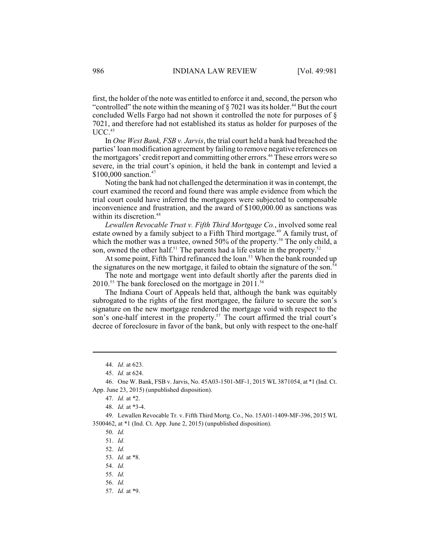first, the holder of the note was entitled to enforce it and, second, the person who "controlled" the note within the meaning of  $\S 7021$  was its holder.<sup>44</sup> But the court concluded Wells Fargo had not shown it controlled the note for purposes of § 7021, and therefore had not established its status as holder for purposes of the  $UCC.<sup>45</sup>$ 

In *One West Bank, FSB v. Jarvis*, the trial court held a bank had breached the parties' loan modification agreement by failing to remove negative references on the mortgagors' credit report and committing other errors.<sup>46</sup> These errors were so severe, in the trial court's opinion, it held the bank in contempt and levied a \$100,000 sanction.<sup>47</sup>

Noting the bank had not challenged the determination it was in contempt, the court examined the record and found there was ample evidence from which the trial court could have inferred the mortgagors were subjected to compensable inconvenience and frustration, and the award of \$100,000.00 as sanctions was within its discretion. 48

*Lewallen Revocable Trust v. Fifth Third Mortgage Co.*, involved some real estate owned by a family subject to a Fifth Third mortgage.<sup>49</sup> A family trust, of which the mother was a trustee, owned 50% of the property.<sup>50</sup> The only child, a son, owned the other half.<sup>51</sup> The parents had a life estate in the property.<sup>52</sup>

At some point, Fifth Third refinanced the loan.<sup>53</sup> When the bank rounded up the signatures on the new mortgage, it failed to obtain the signature of the son. 54

The note and mortgage went into default shortly after the parents died in  $2010^{55}$  The bank foreclosed on the mortgage in 2011.<sup>56</sup>

The Indiana Court of Appeals held that, although the bank was equitably subrogated to the rights of the first mortgagee, the failure to secure the son's signature on the new mortgage rendered the mortgage void with respect to the son's one-half interest in the property.<sup>57</sup> The court affirmed the trial court's decree of foreclosure in favor of the bank, but only with respect to the one-half

<sup>44.</sup> *Id.* at 623.

<sup>45.</sup> *Id.* at 624.

<sup>46.</sup> One W. Bank, FSB v. Jarvis, No. 45A03-1501-MF-1, 2015 WL 3871054, at \*1 (Ind. Ct. App. June 23, 2015) (unpublished disposition).

<sup>47.</sup> *Id.* at \*2.

<sup>48.</sup> *Id.* at \*3-4.

<sup>49.</sup> Lewallen Revocable Tr. v. Fifth Third Mortg. Co., No. 15A01-1409-MF-396, 2015 WL 3500462, at \*1 (Ind. Ct. App. June 2, 2015) (unpublished disposition).

<sup>50.</sup> *Id.*

<sup>51.</sup> *Id.*

<sup>52.</sup> *Id.*

<sup>53.</sup> *Id.* at \*8.

<sup>54.</sup> *Id.* 

<sup>55.</sup> *Id.*

<sup>56.</sup> *Id.*

<sup>57.</sup> *Id.* at \*9.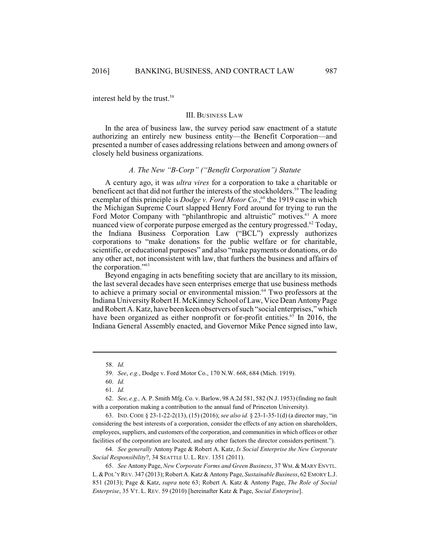interest held by the trust. 58

# III. BUSINESS LAW

In the area of business law, the survey period saw enactment of a statute authorizing an entirely new business entity—the Benefit Corporation—and presented a number of cases addressing relations between and among owners of closely held business organizations.

# *A. The New "B-Corp" ("Benefit Corporation") Statute*

A century ago, it was *ultra vires* for a corporation to take a charitable or beneficent act that did not further the interests of the stockholders.<sup>59</sup> The leading exemplar of this principle is *Dodge v. Ford Motor Co.*,<sup>60</sup> the 1919 case in which the Michigan Supreme Court slapped Henry Ford around for trying to run the Ford Motor Company with "philanthropic and altruistic" motives.<sup>61</sup> A more nuanced view of corporate purpose emerged as the century progressed.<sup> $62$ </sup> Today, the Indiana Business Corporation Law ("BCL") expressly authorizes corporations to "make donations for the public welfare or for charitable, scientific, or educational purposes" and also "make payments or donations, or do any other act, not inconsistent with law, that furthers the business and affairs of the corporation."<sup>63</sup>

Beyond engaging in acts benefiting society that are ancillary to its mission, the last several decades have seen enterprises emerge that use business methods to achieve a primary social or environmental mission. $^{64}$  Two professors at the Indiana University Robert H. McKinney School of Law, Vice Dean Antony Page and Robert A. Katz, have been keen observers of such "social enterprises," which have been organized as either nonprofit or for-profit entities.<sup>65</sup> In 2016, the Indiana General Assembly enacted, and Governor Mike Pence signed into law,

63. IND.CODE § 23-1-22-2(13), (15) (2016); *see also id.* § 23-1-35-1(d) (a director may, "in considering the best interests of a corporation, consider the effects of any action on shareholders, employees, suppliers, and customers of the corporation, and communities in which offices or other facilities of the corporation are located, and any other factors the director considers pertinent.").

64. *See generally* Antony Page & Robert A. Katz, *Is Social Enterprise the New Corporate Social Responsibility*?, 34 SEATTLE U. L. REV. 1351 (2011).

65. *See* Antony Page, *New Corporate Forms and Green Business*, 37 WM.& MARY ENVTL. L.&POL'Y REV. 347 (2013); Robert A. Katz & Antony Page, *Sustainable Business*, 62 EMORY L.J. 851 (2013); Page & Katz, *supra* note 63; Robert A. Katz & Antony Page, *The Role of Social Enterprise*, 35 VT. L. REV. 59 (2010) [hereinafter Katz & Page, *Social Enterprise*].

<sup>58.</sup> *Id.*

<sup>59.</sup> *See*, *e.g.*, Dodge v. Ford Motor Co., 170 N.W. 668, 684 (Mich. 1919).

<sup>60.</sup> *Id.* 

<sup>61.</sup> *Id.*

<sup>62.</sup> *See, e.g.,* A. P. Smith Mfg. Co. v. Barlow, 98 A.2d 581, 582 (N.J. 1953) (finding no fault with a corporation making a contribution to the annual fund of Princeton University).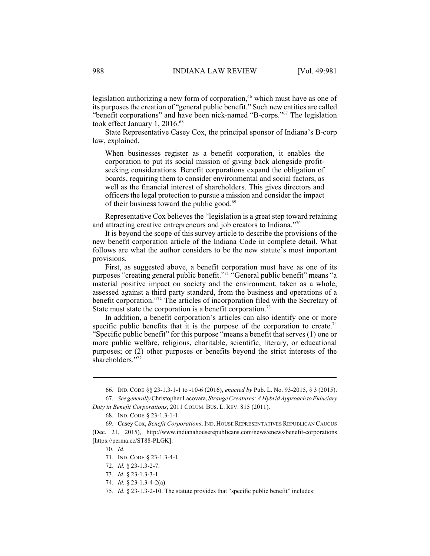legislation authorizing a new form of corporation, $66$  which must have as one of its purposes the creation of "general public benefit." Such new entities are called "benefit corporations" and have been nick-named "B-corps."<sup>67</sup> The legislation took effect January 1, 2016. 68

State Representative Casey Cox, the principal sponsor of Indiana's B-corp law, explained,

When businesses register as a benefit corporation, it enables the corporation to put its social mission of giving back alongside profitseeking considerations. Benefit corporations expand the obligation of boards, requiring them to consider environmental and social factors, as well as the financial interest of shareholders. This gives directors and officers the legal protection to pursue a mission and consider the impact of their business toward the public good.<sup>69</sup>

Representative Cox believes the "legislation is a great step toward retaining and attracting creative entrepreneurs and job creators to Indiana."<sup>70</sup>

It is beyond the scope of this survey article to describe the provisions of the new benefit corporation article of the Indiana Code in complete detail. What follows are what the author considers to be the new statute's most important provisions.

First, as suggested above, a benefit corporation must have as one of its purposes "creating general public benefit."<sup>71</sup> "General public benefit" means "a material positive impact on society and the environment, taken as a whole, assessed against a third party standard, from the business and operations of a benefit corporation."<sup> $72$ </sup> The articles of incorporation filed with the Secretary of State must state the corporation is a benefit corporation.<sup>73</sup>

In addition, a benefit corporation's articles can also identify one or more specific public benefits that it is the purpose of the corporation to create.<sup>74</sup> "Specific public benefit" for this purpose "means a benefit that serves (1) one or more public welfare, religious, charitable, scientific, literary, or educational purposes; or (2) other purposes or benefits beyond the strict interests of the shareholders."<sup>75</sup>

<sup>66.</sup> IND. CODE §§ 23-1.3-1-1 to -10-6 (2016), *enacted by* Pub. L. No. 93-2015, § 3 (2015).

<sup>67.</sup> *See generally* Christopher Lacovara, *Strange Creatures: A Hybrid Approach to Fiduciary Duty in Benefit Corporations*, 2011 COLUM. BUS. L. REV. 815 (2011).

<sup>68.</sup> IND. CODE § 23-1.3-1-1.

<sup>69.</sup> Casey Cox, *Benefit Corporations*, IND. HOUSE REPRESENTATIVES REPUBLICAN CAUCUS (Dec. 21, 2015), http://www.indianahouserepublicans.com/news/enews/benefit-corporations [https://perma.cc/ST88-PLGK].

<sup>70.</sup> *Id.* 

<sup>71.</sup> IND. CODE § 23-1.3-4-1.

<sup>72.</sup> *Id.* § 23-1.3-2-7.

<sup>73.</sup> *Id.* § 23-1.3-3-1.

<sup>74.</sup> *Id.* § 23-1.3-4-2(a).

<sup>75.</sup> *Id.* § 23-1.3-2-10. The statute provides that "specific public benefit" includes: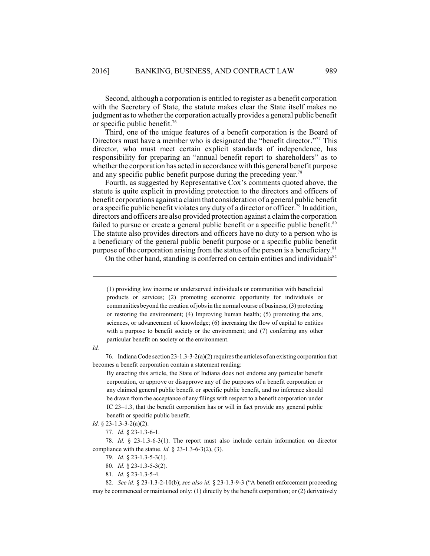Second, although a corporation is entitled to register as a benefit corporation with the Secretary of State, the statute makes clear the State itself makes no judgment as to whether the corporation actually provides a general public benefit or specific public benefit. 76

Third, one of the unique features of a benefit corporation is the Board of Directors must have a member who is designated the "benefit director."<sup>77</sup> This director, who must meet certain explicit standards of independence, has responsibility for preparing an "annual benefit report to shareholders" as to whether the corporation has acted in accordance with this general benefit purpose and any specific public benefit purpose during the preceding year.<sup>78</sup>

Fourth, as suggested by Representative Cox's comments quoted above, the statute is quite explicit in providing protection to the directors and officers of benefit corporations against a claimthat consideration of a general public benefit or a specific public benefit violates any duty of a director or officer.<sup>79</sup> In addition, directors and officers are also provided protection against a claimthe corporation failed to pursue or create a general public benefit or a specific public benefit.<sup>80</sup> The statute also provides directors and officers have no duty to a person who is a beneficiary of the general public benefit purpose or a specific public benefit purpose of the corporation arising from the status of the person is a beneficiary.<sup>81</sup>

On the other hand, standing is conferred on certain entities and individuals<sup>82</sup>

(1) providing low income or underserved individuals or communities with beneficial products or services; (2) promoting economic opportunity for individuals or communities beyond the creation of jobs in the normal course of business; (3) protecting or restoring the environment; (4) Improving human health; (5) promoting the arts, sciences, or advancement of knowledge; (6) increasing the flow of capital to entities with a purpose to benefit society or the environment; and (7) conferring any other particular benefit on society or the environment.

*Id.*

76. Indiana Code section23-1.3-3-2(a)(2) requires the articles of an existing corporation that becomes a benefit corporation contain a statement reading:

By enacting this article, the State of Indiana does not endorse any particular benefit corporation, or approve or disapprove any of the purposes of a benefit corporation or any claimed general public benefit or specific public benefit, and no inference should be drawn from the acceptance of any filings with respect to a benefit corporation under IC 23–1.3, that the benefit corporation has or will in fact provide any general public benefit or specific public benefit.

78. *Id.* § 23-1.3-6-3(1). The report must also include certain information on director compliance with the statue. *Id.* § 23-1.3-6-3(2), (3).

81. *Id.* § 23-1.3-5-4.

82. *See id.* § 23-1.3-2-10(b); *see also id.* § 23-1.3-9-3 ("A benefit enforcement proceeding may be commenced or maintained only: (1) directly by the benefit corporation; or (2) derivatively

*Id.* § 23-1.3-3-2(a)(2).

<sup>77.</sup> *Id.* § 23-1.3-6-1.

<sup>79.</sup> *Id.* § 23-1.3-5-3(1).

<sup>80.</sup> *Id.* § 23-1.3-5-3(2).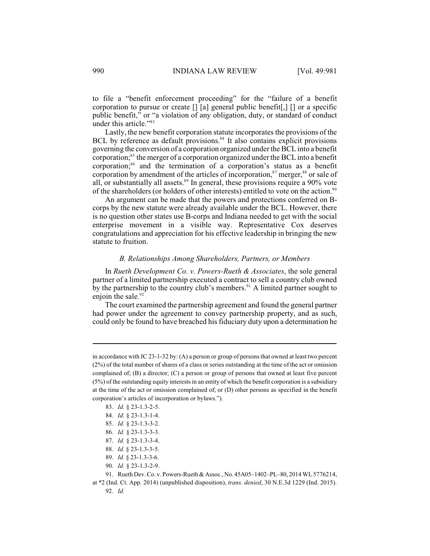to file a "benefit enforcement proceeding" for the "failure of a benefit corporation to pursue or create [] [a] general public benefit[,] [] or a specific public benefit," or "a violation of any obligation, duty, or standard of conduct under this article."<sup>83</sup>

Lastly, the new benefit corporation statute incorporates the provisions of the BCL by reference as default provisions.<sup>84</sup> It also contains explicit provisions governing the conversion of a corporation organized under theBCL into a benefit corporation;<sup>85</sup> the merger of a corporation organized under the BCL into a benefit corporation;<sup>86</sup> and the termination of a corporation's status as a benefit corporation by amendment of the articles of incorporation,  $87$  merger,  $88$  or sale of all, or substantially all assets.<sup>89</sup> In general, these provisions require a  $90\%$  vote of the shareholders (or holders of other interests) entitled to vote on the action.<sup>90</sup>

An argument can be made that the powers and protections conferred on Bcorps by the new statute were already available under the BCL. However, there is no question other states use B-corps and Indiana needed to get with the social enterprise movement in a visible way. Representative Cox deserves congratulations and appreciation for his effective leadership in bringing the new statute to fruition.

## *B. Relationships Among Shareholders, Partners, or Members*

In *Rueth Development Co. v. Powers-Rueth & Associates*, the sole general partner of a limited partnership executed a contract to sell a country club owned by the partnership to the country club's members. $91$  A limited partner sought to enjoin the sale.<sup>92</sup>

The court examined the partnership agreement and found the general partner had power under the agreement to convey partnership property, and as such, could only be found to have breached hisfiduciary duty upon a determination he

in accordance with IC 23-1-32 by: (A) a person or group of persons that owned at least two percent (2%) of the total number of shares of a class or series outstanding at the time of the act or omission complained of; (B) a director; (C) a person or group of persons that owned at least five percent (5%) of the outstanding equity interests in an entity of which the benefit corporation is a subsidiary at the time of the act or omission complained of; or (D) other persons as specified in the benefit corporation's articles of incorporation or bylaws.").

<sup>83.</sup> *Id.* § 23-1.3-2-5.

<sup>84.</sup> *Id.* § 23-1.3-1-4.

<sup>85.</sup> *Id.* § 23-1.3-3-2.

<sup>86.</sup> *Id.* § 23-1.3-3-3.

<sup>87.</sup> *Id.* § 23-1.3-3-4.

<sup>88.</sup> *Id.* § 23-1.3-3-5.

<sup>89.</sup> *Id.* § 23-1.3-3-6.

<sup>90.</sup> *Id.* § 23-1.3-2-9.

<sup>91.</sup> Rueth Dev. Co. v. Powers-Rueth & Assoc., No.45A05–1402–PL–80, 2014 WL5776214,

at \*2 (Ind. Ct. App. 2014) (unpublished disposition), *trans. denied*, 30 N.E.3d 1229 (Ind. 2015). 92. *Id.*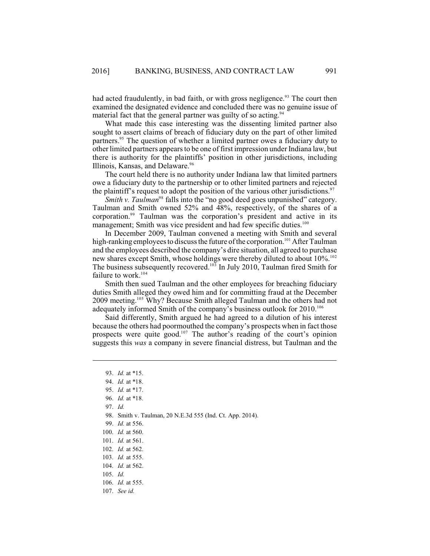had acted fraudulently, in bad faith, or with gross negligence.<sup>93</sup> The court then examined the designated evidence and concluded there was no genuine issue of material fact that the general partner was guilty of so acting.<sup>94</sup>

What made this case interesting was the dissenting limited partner also sought to assert claims of breach of fiduciary duty on the part of other limited partners.<sup>95</sup> The question of whether a limited partner owes a fiduciary duty to otherlimited partners appears to be one of first impression under Indiana law, but there is authority for the plaintiffs' position in other jurisdictions, including Illinois, Kansas, and Delaware.<sup>96</sup>

The court held there is no authority under Indiana law that limited partners owe a fiduciary duty to the partnership or to other limited partners and rejected the plaintiff's request to adopt the position of the various other jurisdictions.<sup>97</sup>

*Smith v. Taulman*<sup>98</sup> falls into the "no good deed goes unpunished" category. Taulman and Smith owned 52% and 48%, respectively, of the shares of a corporation.<sup>99</sup> Taulman was the corporation's president and active in its management; Smith was vice president and had few specific duties.<sup>100</sup>

In December 2009, Taulman convened a meeting with Smith and several high-ranking employees to discuss the future of the corporation.<sup>101</sup> After Taulman and the employees described the company's dire situation, all agreed to purchase new shares except Smith, whose holdings were thereby diluted to about 10%.<sup>102</sup> The business subsequently recovered.<sup>103</sup> In July 2010, Taulman fired Smith for failure to work.<sup>104</sup>

Smith then sued Taulman and the other employees for breaching fiduciary duties Smith alleged they owed him and for committing fraud at the December 2009 meeting.<sup>105</sup> Why? Because Smith alleged Taulman and the others had not adequately informed Smith of the company's business outlook for 2010.<sup>106</sup>

Said differently, Smith argued he had agreed to a dilution of his interest because the others had poormouthed the company's prospects when in fact those prospects were quite good.<sup>107</sup> The author's reading of the court's opinion suggests this *was* a company in severe financial distress, but Taulman and the

<sup>93.</sup> *Id.* at \*15.

<sup>94.</sup> *Id.* at \*18.

<sup>95.</sup> *Id.* at \*17.

<sup>96.</sup> *Id.* at \*18.

<sup>97.</sup> *Id.*

<sup>98.</sup> Smith v. Taulman, 20 N.E.3d 555 (Ind. Ct. App. 2014).

<sup>99.</sup> *Id.* at 556.

<sup>100.</sup> *Id.* at 560.

<sup>101.</sup> *Id.* at 561.

<sup>102.</sup> *Id.* at 562.

<sup>103.</sup> *Id.* at 555.

<sup>104.</sup> *Id.* at 562.

<sup>105.</sup> *Id.*

<sup>106.</sup> *Id.* at 555.

<sup>107.</sup> *See id.*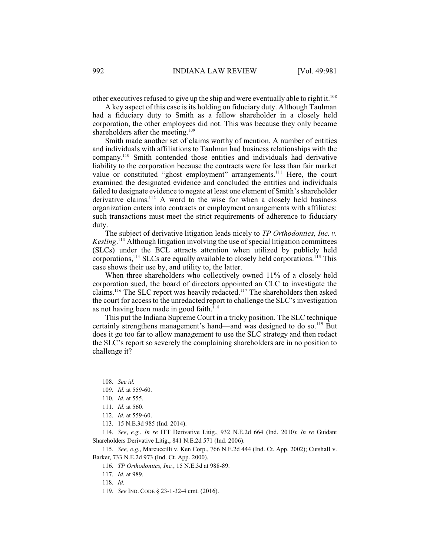other executives refused to give up the ship and were eventually able to right it.<sup>108</sup>

A key aspect of this case is its holding on fiduciary duty. Although Taulman had a fiduciary duty to Smith as a fellow shareholder in a closely held corporation, the other employees did not. This was because they only became shareholders after the meeting.<sup>109</sup>

Smith made another set of claims worthy of mention. A number of entities and individuals with affiliations to Taulman had business relationships with the company.<sup>110</sup> Smith contended those entities and individuals had derivative liability to the corporation because the contracts were for less than fair market value or constituted "ghost employment" arrangements.<sup>111</sup> Here, the court examined the designated evidence and concluded the entities and individuals failed to designate evidence to negate at least one element of Smith's shareholder derivative claims.<sup>112</sup> A word to the wise for when a closely held business organization enters into contracts or employment arrangements with affiliates: such transactions must meet the strict requirements of adherence to fiduciary duty.

The subject of derivative litigation leads nicely to *TP Orthodontics, Inc. v. Kesling*.<sup>113</sup> Although litigation involving the use of special litigation committees (SLCs) under the BCL attracts attention when utilized by publicly held corporations,  $114$  SLCs are equally available to closely held corporations.  $115$  This case shows their use by, and utility to, the latter.

When three shareholders who collectively owned 11% of a closely held corporation sued, the board of directors appointed an CLC to investigate the claims.<sup>116</sup> The SLC report was heavily redacted.<sup>117</sup> The shareholders then asked the court for access to the unredacted report to challenge the SLC's investigation as not having been made in good faith.<sup>118</sup>

This put the Indiana Supreme Court in a tricky position. The SLC technique certainly strengthens management's hand—and was designed to do so.<sup>119</sup> But does it go too far to allow management to use the SLC strategy and then redact the SLC's report so severely the complaining shareholders are in no position to challenge it?

114. *See*, *e.g.*, *In re* ITT Derivative Litig., 932 N.E.2d 664 (Ind. 2010); *In re* Guidant Shareholders Derivative Litig., 841 N.E.2d 571 (Ind. 2006).

115. *See, e.g.*, Marcuccilli v. Ken Corp., 766 N.E.2d 444 (Ind. Ct. App. 2002); Cutshall v. Barker, 733 N.E.2d 973 (Ind. Ct. App. 2000).

119. *See* IND. CODE § 23-1-32-4 cmt. (2016).

<sup>108.</sup> *See id.*

<sup>109.</sup> *Id.* at 559-60.

<sup>110.</sup> *Id.* at 555.

<sup>111.</sup> *Id.* at 560.

<sup>112.</sup> *Id.* at 559-60.

<sup>113.</sup> 15 N.E.3d 985 (Ind. 2014).

<sup>116.</sup> *TP Orthodontics, Inc.*, 15 N.E.3d at 988-89.

<sup>117.</sup> *Id.* at 989.

<sup>118.</sup> *Id.*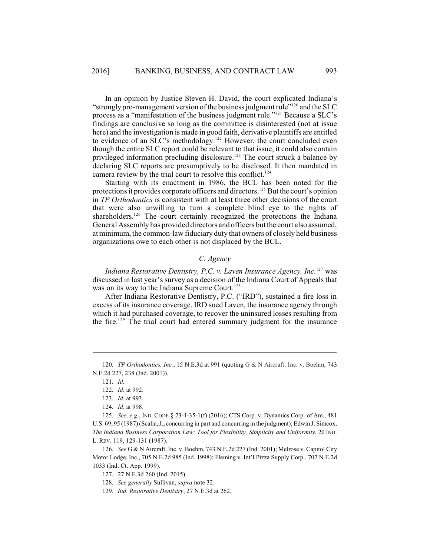In an opinion by Justice Steven H. David, the court explicated Indiana's "strongly pro-management version of the business judgment rule"<sup> $120$ </sup> and the SLC process as a "manifestation of the business judgment rule."<sup>121</sup> Because a SLC's findings are conclusive so long as the committee is disinterested (not at issue here) and the investigation is made in good faith, derivative plaintiffs are entitled to evidence of an SLC's methodology.<sup>122</sup> However, the court concluded even though the entire SLC report could be relevant to that issue, it could also contain privileged information precluding disclosure.<sup>123</sup> The court struck a balance by declaring SLC reports are presumptively to be disclosed. It then mandated in camera review by the trial court to resolve this conflict.<sup>124</sup>

Starting with its enactment in 1986, the BCL has been noted for the protections it provides corporate officers and directors.<sup>125</sup> But the court's opinion in *TP Orthodontics* is consistent with at least three other decisions of the court that were also unwilling to turn a complete blind eye to the rights of shareholders.<sup>126</sup> The court certainly recognized the protections the Indiana General Assembly has provided directors and officers but the court also assumed, at minimum, the common-law fiduciary duty that owners of closely held business organizations owe to each other is not displaced by the BCL.

# *C. Agency*

*Indiana Restorative Dentistry, P.C. v. Laven Insurance Agency, Inc.*<sup>127</sup> was discussed in last year's survey as a decision of the Indiana Court of Appeals that was on its way to the Indiana Supreme Court.<sup>128</sup>

After Indiana Restorative Dentistry, P.C. ("IRD"), sustained a fire loss in excess of its insurance coverage, IRD sued Laven, the insurance agency through which it had purchased coverage, to recover the uninsured losses resulting from the fire.<sup>129</sup> The trial court had entered summary judgment for the insurance

<sup>120.</sup> *TP Orthodontics, Inc.*, 15 N.E.3d at 991 (quoting G & N Aircraft, Inc. v. Boehm, 743 N.E.2d 227, 238 (Ind. 2001)).

<sup>121.</sup> *Id.*

<sup>122.</sup> *Id.* at 992.

<sup>123.</sup> *Id.* at 993.

<sup>124.</sup> *Id.* at 998.

<sup>125.</sup> *See, e.g.*, IND. CODE § 23-1-35-1(f) (2016); CTS Corp. v. Dynamics Corp. of Am., 481 U.S. 69, 95 (1987) (Scalia, J., concurring in part and concurring in the judgment); Edwin J. Simcox, *The Indiana Business Corporation Law: Tool for Flexibility, Simplicity and Uniformity*, 20 IND. L. REV. 119, 129-131 (1987).

<sup>126.</sup> *See* G & N Aircraft, Inc. v. Boehm, 743 N.E.2d 227 (Ind. 2001); Melrose v. Capitol City Motor Lodge, Inc., 705 N.E.2d 985 (Ind. 1998); Fleming v. Int'l Pizza Supply Corp., 707 N.E.2d 1033 (Ind. Ct. App. 1999).

<sup>127.</sup> 27 N.E.3d 260 (Ind. 2015).

<sup>128.</sup> *See generally* Sullivan, *supra* note 32.

<sup>129.</sup> *Ind. Restorative Dentistry*, 27 N.E.3d at 262.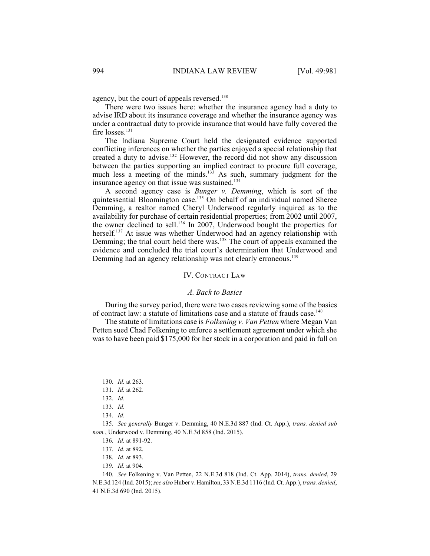agency, but the court of appeals reversed.<sup>130</sup>

There were two issues here: whether the insurance agency had a duty to advise IRD about its insurance coverage and whether the insurance agency was under a contractual duty to provide insurance that would have fully covered the fire losses. $131$ 

The Indiana Supreme Court held the designated evidence supported conflicting inferences on whether the parties enjoyed a special relationship that created a duty to advise.<sup>132</sup> However, the record did not show any discussion between the parties supporting an implied contract to procure full coverage, much less a meeting of the minds.<sup>133</sup> As such, summary judgment for the insurance agency on that issue was sustained.<sup>134</sup>

A second agency case is *Bunger v. Demming*, which is sort of the quintessential Bloomington case.<sup>135</sup> On behalf of an individual named Sheree Demming, a realtor named Cheryl Underwood regularly inquired as to the availability for purchase of certain residential properties; from 2002 until 2007, the owner declined to sell.<sup>136</sup> In 2007, Underwood bought the properties for herself.<sup>137</sup> At issue was whether Underwood had an agency relationship with Demming; the trial court held there was.<sup>138</sup> The court of appeals examined the evidence and concluded the trial court's determination that Underwood and Demming had an agency relationship was not clearly erroneous.<sup>139</sup>

### IV. CONTRACT LAW

### *A. Back to Basics*

During the survey period, there were two cases reviewing some of the basics of contract law: a statute of limitations case and a statute of frauds case.<sup>140</sup>

The statute of limitations case is *Folkening v. Van Petten* where Megan Van Petten sued Chad Folkening to enforce a settlement agreement under which she was to have been paid \$175,000 for her stock in a corporation and paid in full on

<sup>130.</sup> *Id.* at 263.

<sup>131.</sup> *Id.* at 262.

<sup>132.</sup> *Id.*

<sup>133.</sup> *Id.*

<sup>134.</sup> *Id.*

<sup>135.</sup> *See generally* Bunger v. Demming, 40 N.E.3d 887 (Ind. Ct. App.), *trans. denied sub nom.*, Underwood v. Demming, 40 N.E.3d 858 (Ind. 2015).

<sup>136.</sup> *Id.* at 891-92.

<sup>137.</sup> *Id.* at 892.

<sup>138.</sup> *Id.* at 893.

<sup>139.</sup> *Id.* at 904.

<sup>140.</sup> *See* Folkening v. Van Petten, 22 N.E.3d 818 (Ind. Ct. App. 2014), *trans. denied*, 29 N.E.3d 124 (Ind. 2015); *see also* Huber v. Hamilton, 33 N.E.3d 1116 (Ind. Ct. App.), *trans. denied*, 41 N.E.3d 690 (Ind. 2015).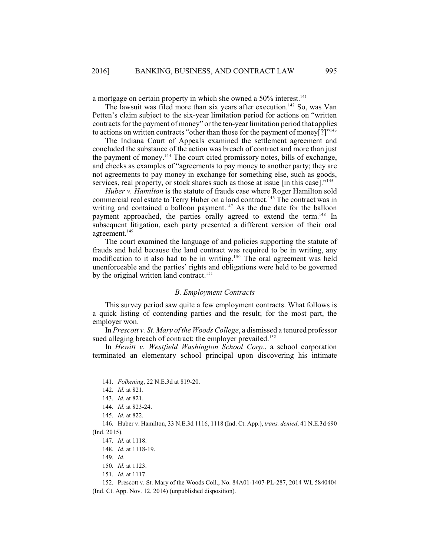a mortgage on certain property in which she owned a 50% interest.<sup>141</sup>

The lawsuit was filed more than six years after execution.<sup> $142$ </sup> So, was Van Petten's claim subject to the six-year limitation period for actions on "written contracts for the payment of money" or the ten-year limitation period that applies to actions on written contracts "other than those for the payment of money[?]"<sup>143</sup>

The Indiana Court of Appeals examined the settlement agreement and concluded the substance of the action was breach of contract and more than just the payment of money.<sup>144</sup> The court cited promissory notes, bills of exchange, and checks as examples of "agreements to pay money to another party; they are not agreements to pay money in exchange for something else, such as goods, services, real property, or stock shares such as those at issue [in this case]."<sup>145</sup>

*Huber v. Hamilton* is the statute of frauds case where Roger Hamilton sold commercial real estate to Terry Huber on a land contract.<sup>146</sup> The contract was in writing and contained a balloon payment.<sup>147</sup> As the due date for the balloon payment approached, the parties orally agreed to extend the term.<sup>148</sup> In subsequent litigation, each party presented a different version of their oral agreement. 149

The court examined the language of and policies supporting the statute of frauds and held because the land contract was required to be in writing, any modification to it also had to be in writing.<sup>150</sup> The oral agreement was held unenforceable and the parties' rights and obligations were held to be governed by the original written land contract.<sup>151</sup>

### *B. Employment Contracts*

This survey period saw quite a few employment contracts. What follows is a quick listing of contending parties and the result; for the most part, the employer won.

In *Prescott v. St. Mary of the Woods College*, a dismissed a tenured professor sued alleging breach of contract; the employer prevailed.<sup>152</sup>

In *Hewitt v. Westfield Washington School Corp.*, a school corporation terminated an elementary school principal upon discovering his intimate

151. *Id.* at 1117.

152. Prescott v. St. Mary of the Woods Coll., No. 84A01-1407-PL-287, 2014 WL 5840404 (Ind. Ct. App. Nov. 12, 2014) (unpublished disposition).

<sup>141.</sup> *Folkening*, 22 N.E.3d at 819-20.

<sup>142.</sup> *Id.* at 821.

<sup>143.</sup> *Id.* at 821.

<sup>144.</sup> *Id.* at 823-24.

<sup>145.</sup> *Id.* at 822.

<sup>146.</sup> Huber v. Hamilton, 33 N.E.3d 1116, 1118 (Ind. Ct. App.), *trans. denied*, 41 N.E.3d 690 (Ind. 2015).

<sup>147.</sup> *Id.* at 1118.

<sup>148.</sup> *Id.* at 1118-19.

<sup>149.</sup> *Id.*

<sup>150.</sup> *Id.* at 1123.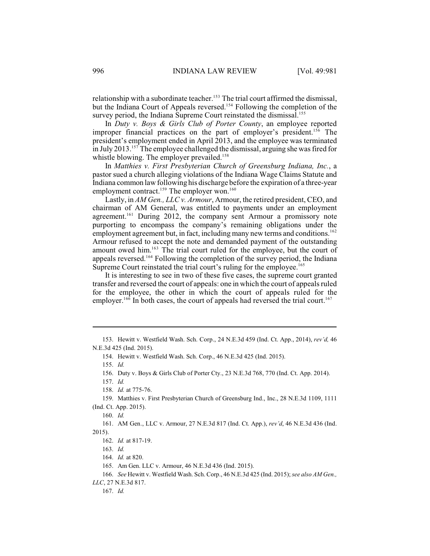relationship with a subordinate teacher.<sup>153</sup> The trial court affirmed the dismissal, but the Indiana Court of Appeals reversed.<sup>154</sup> Following the completion of the survey period, the Indiana Supreme Court reinstated the dismissal.<sup>155</sup>

In *Duty v. Boys & Girls Club of Porter County*, an employee reported improper financial practices on the part of employer's president.<sup>156</sup> The president's employment ended in April 2013, and the employee was terminated in July 2013.<sup>157</sup> The employee challenged the dismissal, arguing she was fired for whistle blowing. The employer prevailed.<sup>158</sup>

In *Matthies v. First Presbyterian Church of Greensburg Indiana, Inc.*, a pastor sued a church alleging violations of the Indiana Wage Claims Statute and Indiana common law following his discharge before the expiration of a three-year employment contract.<sup>159</sup> The employer won.<sup>160</sup>

Lastly, in *AM Gen., LLC v. Armour*, Armour, the retired president, CEO, and chairman of AM General, was entitled to payments under an employment agreement.<sup>161</sup> During 2012, the company sent Armour a promissory note purporting to encompass the company's remaining obligations under the employment agreement but, in fact, including many new terms and conditions.<sup>162</sup> Armour refused to accept the note and demanded payment of the outstanding amount owed him. $163$  The trial court ruled for the employee, but the court of appeals reversed.<sup>164</sup> Following the completion of the survey period, the Indiana Supreme Court reinstated the trial court's ruling for the employee.<sup>165</sup>

It is interesting to see in two of these five cases, the supreme court granted transfer and reversed the court of appeals: one in which the court of appeals ruled for the employee, the other in which the court of appeals ruled for the employer.<sup>166</sup> In both cases, the court of appeals had reversed the trial court.<sup>167</sup>

<sup>153.</sup> Hewitt v. Westfield Wash. Sch. Corp., 24 N.E.3d 459 (Ind. Ct. App., 2014), *rev'd,* 46 N.E.3d 425 (Ind. 2015).

<sup>154.</sup> Hewitt v. Westfield Wash. Sch. Corp., 46 N.E.3d 425 (Ind. 2015).

<sup>155.</sup> *Id.*

<sup>156.</sup> Duty v. Boys & Girls Club of Porter Cty., 23 N.E.3d 768, 770 (Ind. Ct. App. 2014).

<sup>157.</sup> *Id.*

<sup>158.</sup> *Id.* at 775-76.

<sup>159.</sup> Matthies v. First Presbyterian Church of Greensburg Ind., Inc., 28 N.E.3d 1109, 1111 (Ind. Ct. App. 2015).

<sup>160.</sup> *Id.*

<sup>161.</sup> AM Gen., LLC v. Armour, 27 N.E.3d 817 (Ind. Ct. App.), *rev'd*, 46 N.E.3d 436 (Ind. 2015).

<sup>162.</sup> *Id.* at 817-19.

<sup>163.</sup> *Id.*

<sup>164.</sup> *Id.* at 820.

<sup>165.</sup> Am Gen. LLC v. Armour, 46 N.E.3d 436 (Ind. 2015).

<sup>166.</sup> *See* Hewitt v. Westfield Wash. Sch. Corp., 46 N.E.3d 425 (Ind. 2015); *see also AM Gen.,*

*LLC*, 27 N.E.3d 817.

<sup>167.</sup> *Id.*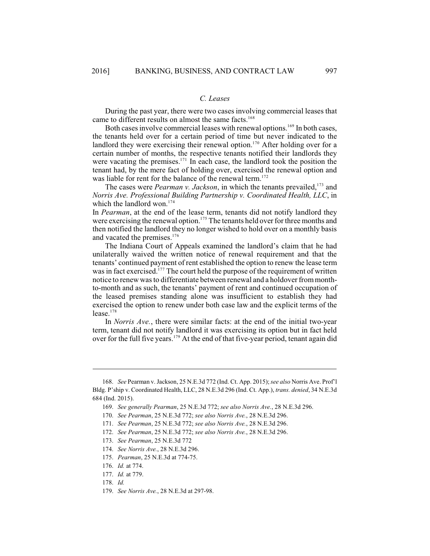## *C. Leases*

During the past year, there were two cases involving commercial leases that came to different results on almost the same facts. 168

Both cases involve commercial leases with renewal options.<sup>169</sup> In both cases, the tenants held over for a certain period of time but never indicated to the landlord they were exercising their renewal option.<sup>170</sup> After holding over for a certain number of months, the respective tenants notified their landlords they were vacating the premises. $171$  In each case, the landlord took the position the tenant had, by the mere fact of holding over, exercised the renewal option and was liable for rent for the balance of the renewal term.<sup>172</sup>

The cases were *Pearman v. Jackson*, in which the tenants prevailed,<sup>173</sup> and *Norris Ave. Professional Building Partnership v. Coordinated Health, LLC*, in which the landlord won.<sup>174</sup>

In *Pearman*, at the end of the lease term, tenants did not notify landlord they were exercising the renewal option.<sup>175</sup> The tenants held over for three months and then notified the landlord they no longer wished to hold over on a monthly basis and vacated the premises.<sup>176</sup>

The Indiana Court of Appeals examined the landlord's claim that he had unilaterally waived the written notice of renewal requirement and that the tenants' continued payment of rent established the option to renew the lease term was in fact exercised.<sup> $177$ </sup> The court held the purpose of the requirement of written notice to renew was to differentiate between renewal and a holdover frommonthto-month and as such, the tenants' payment of rent and continued occupation of the leased premises standing alone was insufficient to establish they had exercised the option to renew under both case law and the explicit terms of the lease. 178

In *Norris Ave.*, there were similar facts: at the end of the initial two-year term, tenant did not notify landlord it was exercising its option but in fact held over for the full five years.<sup>179</sup> At the end of that five-year period, tenant again did

<sup>168.</sup> *See* Pearman v. Jackson, 25 N.E.3d 772 (Ind. Ct. App. 2015); *see also* Norris Ave. Prof'l Bldg. P'ship v. Coordinated Health, LLC, 28 N.E.3d 296 (Ind. Ct. App.), *trans. denied*, 34 N.E.3d 684 (Ind. 2015).

<sup>169.</sup> *See generally Pearman*, 25 N.E.3d 772; *see also Norris Ave.*, 28 N.E.3d 296.

<sup>170.</sup> *See Pearman*, 25 N.E.3d 772; *see also Norris Ave.*, 28 N.E.3d 296.

<sup>171.</sup> *See Pearman*, 25 N.E.3d 772; *see also Norris Ave.*, 28 N.E.3d 296.

<sup>172.</sup> *See Pearman*, 25 N.E.3d 772; *see also Norris Ave.*, 28 N.E.3d 296.

<sup>173.</sup> *See Pearman*, 25 N.E.3d 772

<sup>174.</sup> *See Norris Ave.*, 28 N.E.3d 296.

<sup>175.</sup> *Pearman*, 25 N.E.3d at 774-75.

<sup>176.</sup> *Id.* at 774.

<sup>177.</sup> *Id.* at 779.

<sup>178.</sup> *Id.*

<sup>179.</sup> *See Norris Ave.*, 28 N.E.3d at 297-98.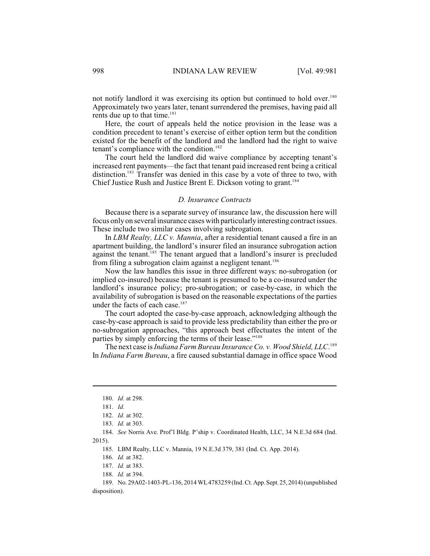not notify landlord it was exercising its option but continued to hold over.<sup>180</sup> Approximately two years later, tenant surrendered the premises, having paid all rents due up to that time.<sup>181</sup>

Here, the court of appeals held the notice provision in the lease was a condition precedent to tenant's exercise of either option term but the condition existed for the benefit of the landlord and the landlord had the right to waive tenant's compliance with the condition. 182

The court held the landlord did waive compliance by accepting tenant's increased rent payments—the fact that tenant paid increased rent being a critical distinction.<sup>183</sup> Transfer was denied in this case by a vote of three to two, with Chief Justice Rush and Justice Brent E. Dickson voting to grant.<sup>184</sup>

#### *D. Insurance Contracts*

Because there is a separate survey of insurance law, the discussion here will focus only on several insurance cases with particularlyinteresting contract issues. These include two similar cases involving subrogation.

In *LBM Realty, LLC v. Mannia*, after a residential tenant caused a fire in an apartment building, the landlord's insurer filed an insurance subrogation action against the tenant.<sup>185</sup> The tenant argued that a landlord's insurer is precluded from filing a subrogation claim against a negligent tenant.<sup>186</sup>

Now the law handles this issue in three different ways: no-subrogation (or implied co-insured) because the tenant is presumed to be a co-insured under the landlord's insurance policy; pro-subrogation; or case-by-case, in which the availability of subrogation is based on the reasonable expectations of the parties under the facts of each case. 187

The court adopted the case-by-case approach, acknowledging although the case-by-case approach is said to provide less predictability than either the pro or no-subrogation approaches, "this approach best effectuates the intent of the parties by simply enforcing the terms of their lease."<sup>188</sup>

The next case is*Indiana Farm Bureau InsuranceCo. v. Wood Shield, LLC*. 189 In *Indiana Farm Bureau*, a fire caused substantial damage in office space Wood

185. LBM Realty, LLC v. Mannia, 19 N.E.3d 379, 381 (Ind. Ct. App. 2014).

<sup>180.</sup> *Id.* at 298.

<sup>181.</sup> *Id.*

<sup>182.</sup> *Id.* at 302.

<sup>183.</sup> *Id.* at 303.

<sup>184.</sup> *See* Norris Ave. Prof'l Bldg. P'ship v. Coordinated Health, LLC, 34 N.E.3d 684 (Ind. 2015).

<sup>186.</sup> *Id.* at 382.

<sup>187.</sup> *Id.* at 383.

<sup>188.</sup> *Id.* at 394.

<sup>189.</sup> No. 29A02-1403-PL-136, 2014 WL4783259 (Ind. Ct. App. Sept. 25, 2014) (unpublished disposition).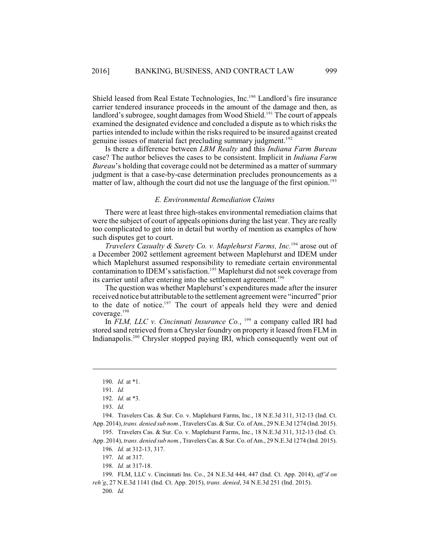Shield leased from Real Estate Technologies, Inc.<sup>190</sup> Landlord's fire insurance carrier tendered insurance proceeds in the amount of the damage and then, as landlord's subrogee, sought damages from Wood Shield.<sup>191</sup> The court of appeals examined the designated evidence and concluded a dispute as to which risks the parties intended to include within the risks required to be insured against created genuine issues of material fact precluding summary judgment.<sup>192</sup>

Is there a difference between *LBM Realty* and this *Indiana Farm Bureau* case? The author believes the cases to be consistent. Implicit in *Indiana Farm Bureau*'s holding that coverage could not be determined as a matter of summary judgment is that a case-by-case determination precludes pronouncements as a matter of law, although the court did not use the language of the first opinion.<sup>193</sup>

## *E. Environmental Remediation Claims*

There were at least three high-stakes environmental remediation claims that were the subject of court of appeals opinions during the last year. They are really too complicated to get into in detail but worthy of mention as examples of how such disputes get to court.

*Travelers Casualty & Surety Co. v. Maplehurst Farms, Inc.*<sup>194</sup> arose out of a December 2002 settlement agreement between Maplehurst and IDEM under which Maplehurst assumed responsibility to remediate certain environmental contamination to IDEM's satisfaction.<sup>195</sup> Maplehurst did not seek coverage from its carrier until after entering into the settlement agreement.<sup>196</sup>

The question was whether Maplehurst's expenditures made after the insurer received notice but attributable to the settlement agreement were "incurred" prior to the date of notice.<sup>197</sup> The court of appeals held they were and denied coverage.<sup>198</sup>

In *FLM, LLC v. Cincinnati Insurance Co.*, <sup>199</sup> a company called IRI had stored sand retrieved from a Chrysler foundry on property it leased from FLM in Indianapolis.<sup>200</sup> Chrysler stopped paying IRI, which consequently went out of

195. Travelers Cas. & Sur. Co. v. Maplehurst Farms, Inc., 18 N.E.3d 311, 312-13 (Ind. Ct. App. 2014), *trans. denied sub nom.*, Travelers Cas. & Sur. Co. of Am., 29 N.E.3d 1274 (Ind. 2015).

<sup>190.</sup> *Id.* at \*1.

<sup>191.</sup> *Id.*

<sup>192.</sup> *Id.* at \*3.

<sup>193.</sup> *Id.*

<sup>194.</sup> Travelers Cas. & Sur. Co. v. Maplehurst Farms, Inc., 18 N.E.3d 311, 312-13 (Ind. Ct. App. 2014), *trans. denied sub nom.*, Travelers Cas. & Sur. Co. of Am., 29 N.E.3d 1274 (Ind. 2015).

<sup>196.</sup> *Id.* at 312-13, 317.

<sup>197.</sup> *Id.* at 317.

<sup>198.</sup> *Id.* at 317-18.

<sup>199.</sup> FLM, LLC v. Cincinnati Ins. Co., 24 N.E.3d 444, 447 (Ind. Ct. App. 2014), *aff'd on reh'g*, 27 N.E.3d 1141 (Ind. Ct. App. 2015), *trans. denied*, 34 N.E.3d 251 (Ind. 2015).

<sup>200.</sup> *Id.*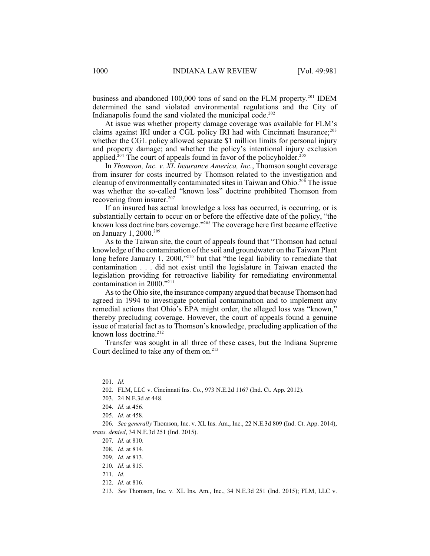business and abandoned 100,000 tons of sand on the FLM property.<sup>201</sup> IDEM determined the sand violated environmental regulations and the City of Indianapolis found the sand violated the municipal code. 202

At issue was whether property damage coverage was available for FLM's claims against IRI under a CGL policy IRI had with Cincinnati Insurance; 203 whether the CGL policy allowed separate \$1 million limits for personal injury and property damage; and whether the policy's intentional injury exclusion applied.<sup>204</sup> The court of appeals found in favor of the policyholder.<sup>205</sup>

In *Thomson, Inc. v. XL Insurance America, Inc.*, Thomson sought coverage from insurer for costs incurred by Thomson related to the investigation and cleanup of environmentally contaminated sites in Taiwan and Ohio.<sup>206</sup> The issue was whether the so-called "known loss" doctrine prohibited Thomson from recovering from insurer. 207

If an insured has actual knowledge a loss has occurred, is occurring, or is substantially certain to occur on or before the effective date of the policy, "the known loss doctrine bars coverage."<sup>208</sup> The coverage here first became effective on January 1, 2000.<sup>209</sup>

As to the Taiwan site, the court of appeals found that "Thomson had actual knowledge of the contamination of the soil and groundwater on the Taiwan Plant long before January 1, 2000,"<sup>210</sup> but that "the legal liability to remediate that contamination . . . did not exist until the legislature in Taiwan enacted the legislation providing for retroactive liability for remediating environmental contamination in 2000."<sup>211</sup>

As to the Ohio site, the insurance company argued that because Thomson had agreed in 1994 to investigate potential contamination and to implement any remedial actions that Ohio's EPA might order, the alleged loss was "known," thereby precluding coverage. However, the court of appeals found a genuine issue of material fact as to Thomson's knowledge, precluding application of the known loss doctrine. 212

Transfer was sought in all three of these cases, but the Indiana Supreme Court declined to take any of them on.<sup>213</sup>

<sup>201.</sup> *Id.*

<sup>202.</sup> FLM, LLC v. Cincinnati Ins. Co., 973 N.E.2d 1167 (Ind. Ct. App. 2012).

<sup>203.</sup> 24 N.E.3d at 448.

<sup>204.</sup> *Id.* at 456.

<sup>205.</sup> *Id.* at 458.

<sup>206.</sup> *See generally* Thomson, Inc. v. XL Ins. Am., Inc., 22 N.E.3d 809 (Ind. Ct. App. 2014), *trans. denied*, 34 N.E.3d 251 (Ind. 2015).

<sup>207.</sup> *Id.* at 810.

<sup>208.</sup> *Id.* at 814.

<sup>209.</sup> *Id.* at 813.

<sup>210.</sup> *Id.* at 815.

<sup>211.</sup> *Id.*

<sup>212.</sup> *Id.* at 816.

<sup>213.</sup> *See* Thomson, Inc. v. XL Ins. Am., Inc., 34 N.E.3d 251 (Ind. 2015); FLM, LLC v.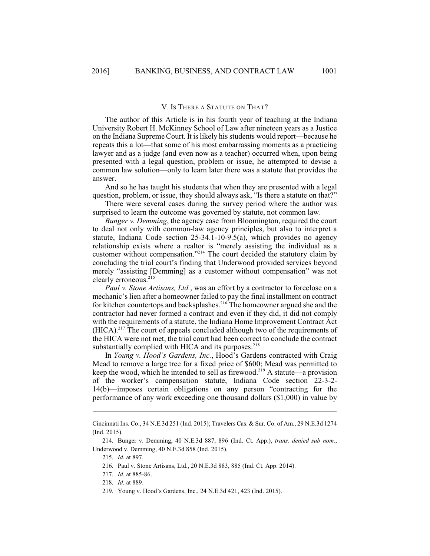### V. IS THERE A STATUTE ON THAT?

The author of this Article is in his fourth year of teaching at the Indiana University Robert H. McKinney School of Law after nineteen years as a Justice on the Indiana Supreme Court. It islikely his students would report—because he repeats this a lot—that some of his most embarrassing moments as a practicing lawyer and as a judge (and even now as a teacher) occurred when, upon being presented with a legal question, problem or issue, he attempted to devise a common law solution—only to learn later there was a statute that provides the answer.

And so he has taught his students that when they are presented with a legal question, problem, or issue, they should always ask, "Is there a statute on that?"

There were several cases during the survey period where the author was surprised to learn the outcome was governed by statute, not common law.

*Bunger v. Demming*, the agency case from Bloomington, required the court to deal not only with common-law agency principles, but also to interpret a statute, Indiana Code section 25-34.1-10-9.5(a), which provides no agency relationship exists where a realtor is "merely assisting the individual as a customer without compensation."<sup> $214$ </sup> The court decided the statutory claim by concluding the trial court's finding that Underwood provided services beyond merely "assisting [Demming] as a customer without compensation" was not clearly erroneous.<sup>215</sup>

*Paul v. Stone Artisans, Ltd.*, was an effort by a contractor to foreclose on a mechanic's lien after a homeowner failed to pay the final installment on contract for kitchen countertops and backsplashes.<sup>216</sup> The homeowner argued she and the contractor had never formed a contract and even if they did, it did not comply with the requirements of a statute, the Indiana Home Improvement Contract Act  $(HICA).<sup>217</sup>$  The court of appeals concluded although two of the requirements of the HICA were not met, the trial court had been correct to conclude the contract substantially complied with HICA and its purposes.<sup>218</sup>

In *Young v. Hood's Gardens, Inc.*, Hood's Gardens contracted with Craig Mead to remove a large tree for a fixed price of \$600; Mead was permitted to keep the wood, which he intended to sell as firewood.<sup>219</sup> A statute—a provision of the worker's compensation statute, Indiana Code section 22-3-2- 14(b)—imposes certain obligations on any person "contracting for the performance of any work exceeding one thousand dollars (\$1,000) in value by

- 216. Paul v. Stone Artisans, Ltd., 20 N.E.3d 883, 885 (Ind. Ct. App. 2014).
- 217. *Id.* at 885-86.
- 218. *Id.* at 889.
- 219. Young v. Hood's Gardens, Inc., 24 N.E.3d 421, 423 (Ind. 2015).

Cincinnati Ins. Co., 34 N.E.3d 251 (Ind. 2015); Travelers Cas. & Sur. Co. of Am., 29 N.E.3d 1274 (Ind. 2015).

<sup>214.</sup> Bunger v. Demming, 40 N.E.3d 887, 896 (Ind. Ct. App.), *trans. denied sub nom.*, Underwood v. Demming, 40 N.E.3d 858 (Ind. 2015).

<sup>215.</sup> *Id.* at 897.